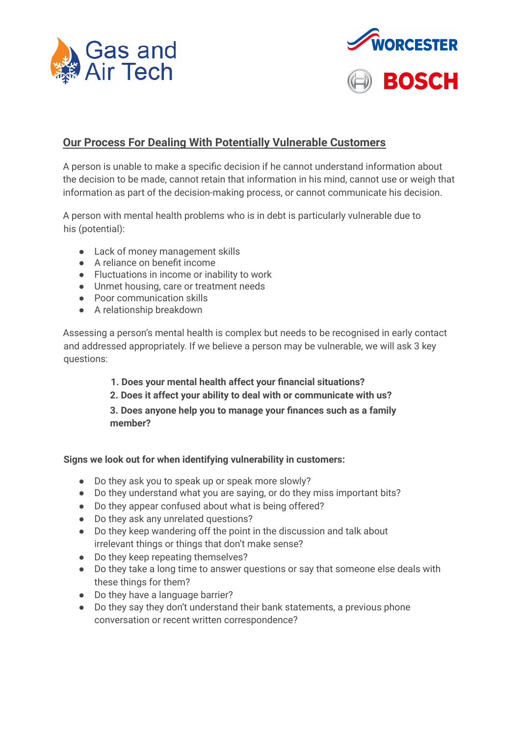



# **Our Process For Dealing With Potentially Vulnerable Customers**

A person is unable to make a specific decision if he cannot understand information about the decision to be made, cannot retain that information in his mind, cannot use or weigh that information as part of the decision-making process, or cannot communicate his decision.

A person with mental health problems who is in debt is particularly vulnerable due to his (potential):

- Lack of money management skills
- A reliance on benefit income
- Fluctuations in income or inability to work
- Unmet housing, care or treatment needs
- Poor communication skills
- A relationship breakdown

Assessing a person's mental health is complex but needs to be recognised in early contact and addressed appropriately. If we believe a person may be vulnerable, we will ask 3 key questions:

## **1. Does your mental health affect your financial situations?**

**2. Does it affect your ability to deal with or communicate with us?**

**3. Does anyone help you to manage your finances such as a family member?**

#### **Signs we look out for when identifying vulnerability in customers:**

- Do they ask you to speak up or speak more slowly?
- Do they understand what you are saying, or do they miss important bits?
- Do they appear confused about what is being offered?
- Do they ask any unrelated questions?
- Do they keep wandering off the point in the discussion and talk about irrelevant things or things that don't make sense?
- Do they keep repeating themselves?
- Do they take a long time to answer questions or say that someone else deals with these things for them?
- Do they have a language barrier?
- Do they say they don't understand their bank statements, a previous phone conversation or recent written correspondence?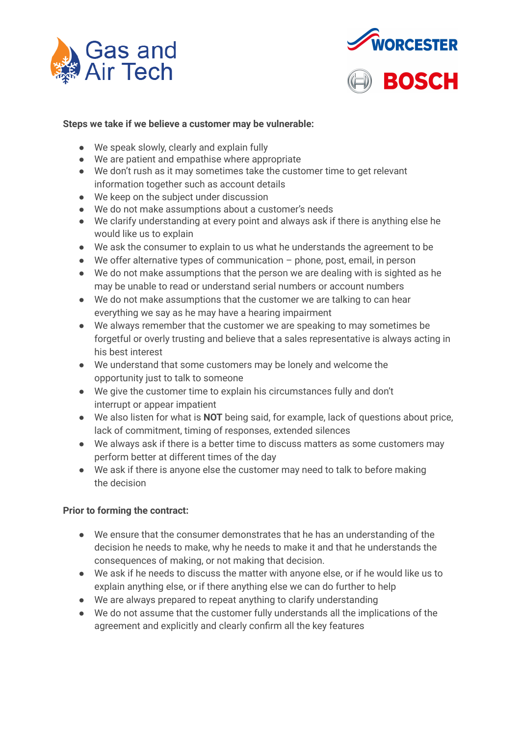



## **Steps we take if we believe a customer may be vulnerable:**

- We speak slowly, clearly and explain fully
- We are patient and empathise where appropriate
- We don't rush as it may sometimes take the customer time to get relevant information together such as account details
- We keep on the subject under discussion
- We do not make assumptions about a customer's needs
- We clarify understanding at every point and always ask if there is anything else he would like us to explain
- We ask the consumer to explain to us what he understands the agreement to be
- We offer alternative types of communication phone, post, email, in person
- We do not make assumptions that the person we are dealing with is sighted as he may be unable to read or understand serial numbers or account numbers
- We do not make assumptions that the customer we are talking to can hear everything we say as he may have a hearing impairment
- We always remember that the customer we are speaking to may sometimes be forgetful or overly trusting and believe that a sales representative is always acting in his best interest
- We understand that some customers may be lonely and welcome the opportunity just to talk to someone
- We give the customer time to explain his circumstances fully and don't interrupt or appear impatient
- We also listen for what is **NOT** being said, for example, lack of questions about price, lack of commitment, timing of responses, extended silences
- We always ask if there is a better time to discuss matters as some customers may perform better at different times of the day
- We ask if there is anyone else the customer may need to talk to before making the decision

#### **Prior to forming the contract:**

- We ensure that the consumer demonstrates that he has an understanding of the decision he needs to make, why he needs to make it and that he understands the consequences of making, or not making that decision.
- We ask if he needs to discuss the matter with anyone else, or if he would like us to explain anything else, or if there anything else we can do further to help
- We are always prepared to repeat anything to clarify understanding
- We do not assume that the customer fully understands all the implications of the agreement and explicitly and clearly confirm all the key features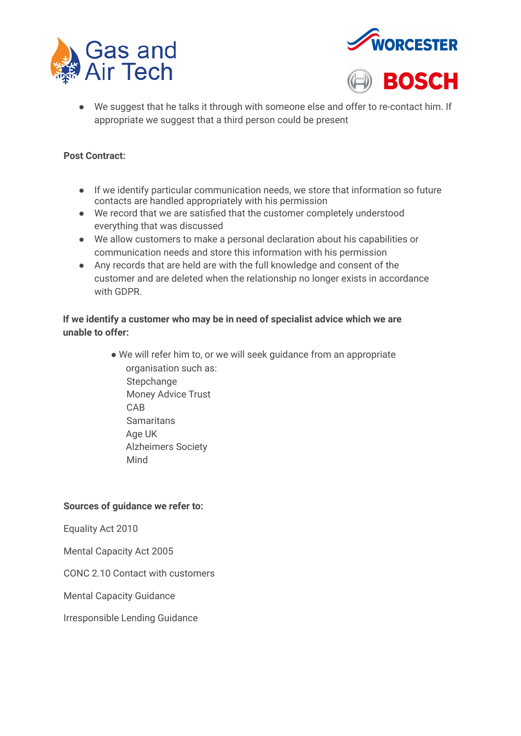





● We suggest that he talks it through with someone else and offer to re-contact him. If appropriate we suggest that a third person could be present

## **Post Contract:**

- If we identify particular communication needs, we store that information so future contacts are handled appropriately with his permission
- We record that we are satisfied that the customer completely understood everything that was discussed
- We allow customers to make a personal declaration about his capabilities or communication needs and store this information with his permission
- Any records that are held are with the full knowledge and consent of the customer and are deleted when the relationship no longer exists in accordance with GDPR.

# **If we identify a customer who may be in need of specialist advice which we are unable to offer:**

• We will refer him to, or we will seek guidance from an appropriate organisation such as: **Stepchange** Money Advice Trust CAB **Samaritans** Age UK Alzheimers Society Mind

#### **Sources of guidance we refer to:**

Equality Act 2010

Mental Capacity Act 2005

CONC 2.10 Contact with customers

Mental Capacity Guidance

Irresponsible Lending Guidance